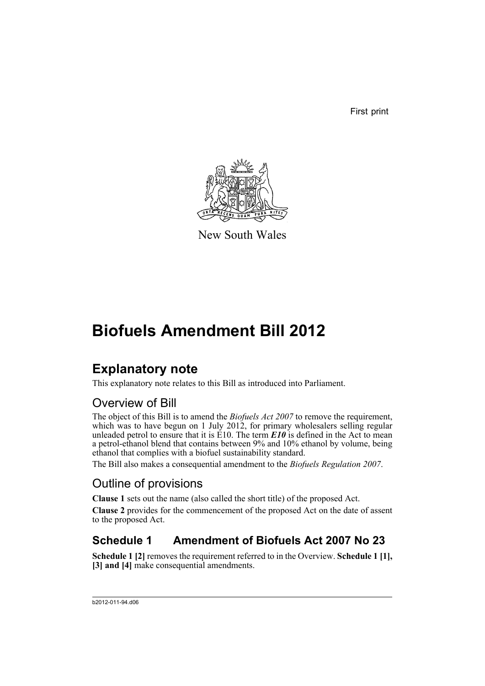First print



New South Wales

# **Biofuels Amendment Bill 2012**

# **Explanatory note**

This explanatory note relates to this Bill as introduced into Parliament.

## Overview of Bill

The object of this Bill is to amend the *Biofuels Act 2007* to remove the requirement, which was to have begun on 1 July 2012, for primary wholesalers selling regular unleaded petrol to ensure that it is  $E10$ . The term  $E10$  is defined in the Act to mean a petrol-ethanol blend that contains between 9% and 10% ethanol by volume, being ethanol that complies with a biofuel sustainability standard.

The Bill also makes a consequential amendment to the *Biofuels Regulation 2007*.

## Outline of provisions

**Clause 1** sets out the name (also called the short title) of the proposed Act.

**Clause 2** provides for the commencement of the proposed Act on the date of assent to the proposed Act.

## **Schedule 1 Amendment of Biofuels Act 2007 No 23**

**Schedule 1 [2]** removes the requirement referred to in the Overview. **Schedule 1 [1], [3] and [4]** make consequential amendments.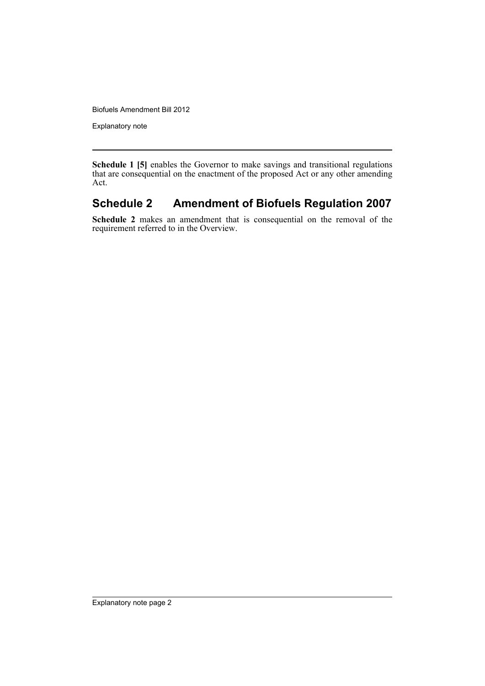Biofuels Amendment Bill 2012

Explanatory note

**Schedule 1 [5]** enables the Governor to make savings and transitional regulations that are consequential on the enactment of the proposed Act or any other amending Act.

## **Schedule 2 Amendment of Biofuels Regulation 2007**

**Schedule 2** makes an amendment that is consequential on the removal of the requirement referred to in the Overview.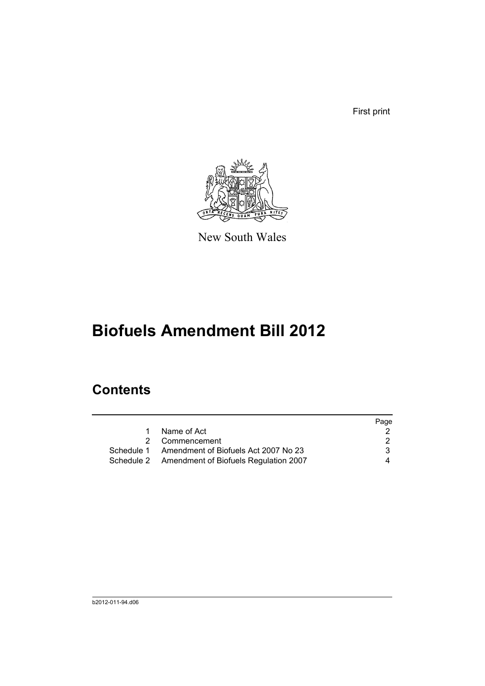First print



New South Wales

# **Biofuels Amendment Bill 2012**

# **Contents**

|                                                  | Page |
|--------------------------------------------------|------|
| Name of Act<br>1                                 |      |
| 2 Commencement                                   |      |
| Schedule 1 Amendment of Biofuels Act 2007 No 23  | 3    |
| Schedule 2 Amendment of Biofuels Regulation 2007 | 4    |
|                                                  |      |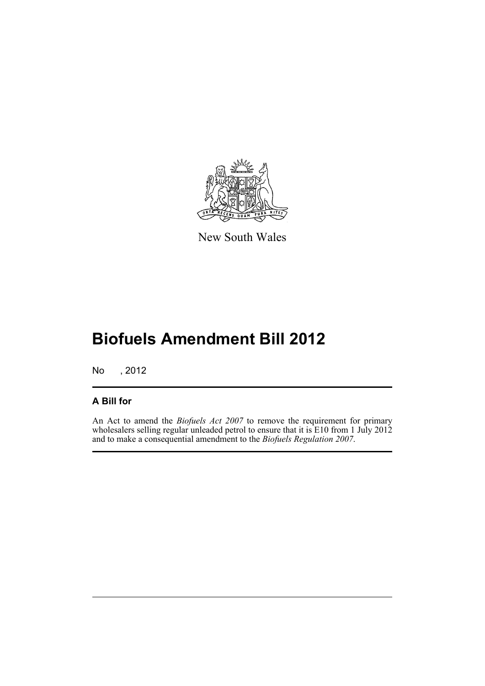

New South Wales

# **Biofuels Amendment Bill 2012**

No , 2012

#### **A Bill for**

An Act to amend the *Biofuels Act 2007* to remove the requirement for primary wholesalers selling regular unleaded petrol to ensure that it is E10 from 1 July 2012 and to make a consequential amendment to the *Biofuels Regulation 2007*.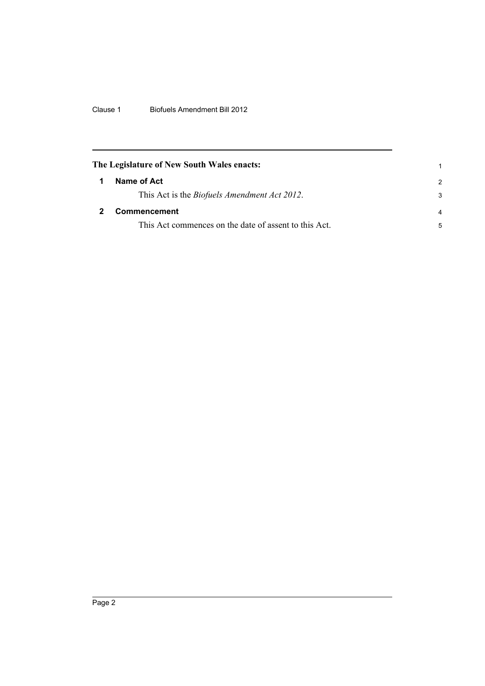Clause 1 Biofuels Amendment Bill 2012

<span id="page-5-1"></span><span id="page-5-0"></span>

| The Legislature of New South Wales enacts: |                                                       |                |
|--------------------------------------------|-------------------------------------------------------|----------------|
| 1                                          | Name of Act                                           | $\mathcal{P}$  |
|                                            | This Act is the <i>Biofuels Amendment Act 2012</i> .  | 3              |
|                                            | Commencement                                          | $\overline{a}$ |
|                                            | This Act commences on the date of assent to this Act. | 5              |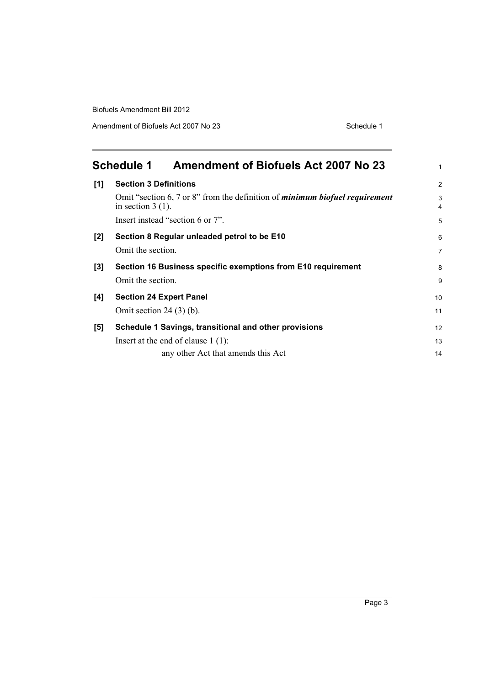Biofuels Amendment Bill 2012

Amendment of Biofuels Act 2007 No 23 Schedule 1

<span id="page-6-0"></span>

|     | <b>Schedule 1</b><br><b>Amendment of Biofuels Act 2007 No 23</b>                                          | 1                   |
|-----|-----------------------------------------------------------------------------------------------------------|---------------------|
| [1] | <b>Section 3 Definitions</b>                                                                              | 2                   |
|     | Omit "section 6, 7 or 8" from the definition of <i>minimum biofuel requirement</i><br>in section $3(1)$ . | 3<br>$\overline{4}$ |
|     | Insert instead "section 6 or 7".                                                                          | 5                   |
| [2] | Section 8 Regular unleaded petrol to be E10                                                               | 6                   |
|     | Omit the section.                                                                                         | $\overline{7}$      |
| [3] | Section 16 Business specific exemptions from E10 requirement                                              | 8                   |
|     | Omit the section.                                                                                         | 9                   |
| [4] | <b>Section 24 Expert Panel</b>                                                                            | 10                  |
|     | Omit section $24(3)$ (b).                                                                                 | 11                  |
| [5] | Schedule 1 Savings, transitional and other provisions                                                     | 12                  |
|     | Insert at the end of clause $1(1)$ :                                                                      | 13                  |
|     | any other Act that amends this Act                                                                        | 14                  |